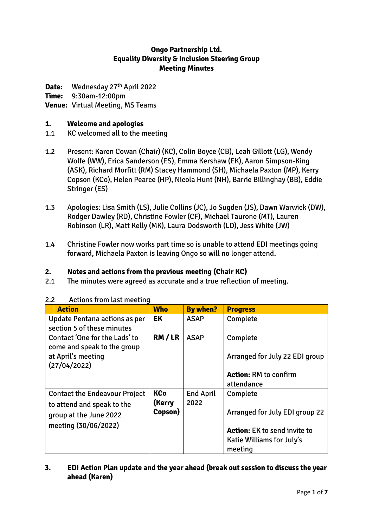## **Ongo Partnership Ltd. Equality Diversity & Inclusion Steering Group Meeting Minutes**

Date: Wednesday 27<sup>th</sup> April 2022

**Time:** 9:30am-12:00pm

## **Venue:** Virtual Meeting, MS Teams

## **1. Welcome and apologies**

- 1.1 KC welcomed all to the meeting
- 1.2 Present: Karen Cowan (Chair) (KC), Colin Boyce (CB), Leah Gillott (LG), Wendy Wolfe (WW), Erica Sanderson (ES), Emma Kershaw (EK), Aaron Simpson-King (ASK), Richard Morfitt (RM) Stacey Hammond (SH), Michaela Paxton (MP), Kerry Copson (KCo), Helen Pearce (HP), Nicola Hunt (NH), Barrie Billinghay (BB), Eddie Stringer (ES)
- 1.3 Apologies: Lisa Smith (LS), Julie Collins (JC), Jo Sugden (JS), Dawn Warwick (DW), Rodger Dawley (RD), Christine Fowler (CF), Michael Taurone (MT), Lauren Robinson (LR), Matt Kelly (MK), Laura Dodsworth (LD), Jess White (JW)
- 1.4 Christine Fowler now works part time so is unable to attend EDI meetings going forward, Michaela Paxton is leaving Ongo so will no longer attend.

# **2. Notes and actions from the previous meeting (Chair KC)**

2.1 The minutes were agreed as accurate and a true reflection of meeting.

| <b>Action</b>                        | <b>Who</b> | <b>By when?</b>  | <b>Progress</b>                       |
|--------------------------------------|------------|------------------|---------------------------------------|
| Update Pentana actions as per        | EK         | <b>ASAP</b>      | Complete                              |
| section 5 of these minutes           |            |                  |                                       |
|                                      |            |                  |                                       |
| Contact 'One for the Lads' to        | RM/LR      | <b>ASAP</b>      | Complete                              |
| come and speak to the group          |            |                  |                                       |
| at April's meeting                   |            |                  | Arranged for July 22 EDI group        |
|                                      |            |                  |                                       |
| (27/04/2022)                         |            |                  |                                       |
|                                      |            |                  | <b>Action: RM to confirm</b>          |
|                                      |            |                  | attendance                            |
| <b>Contact the Endeavour Project</b> | <b>KCo</b> | <b>End April</b> | Complete                              |
| to attend and speak to the           | (Kerry     | 2022             |                                       |
|                                      | Copson)    |                  | <b>Arranged for July EDI group 22</b> |
| group at the June 2022               |            |                  |                                       |
| meeting (30/06/2022)                 |            |                  |                                       |
|                                      |            |                  | <b>Action:</b> EK to send invite to   |
|                                      |            |                  | Katie Williams for July's             |
|                                      |            |                  |                                       |
|                                      |            |                  | meeting                               |

### 2.2 Actions from last meeting

**3. EDI Action Plan update and the year ahead (break out session to discuss the year ahead (Karen)**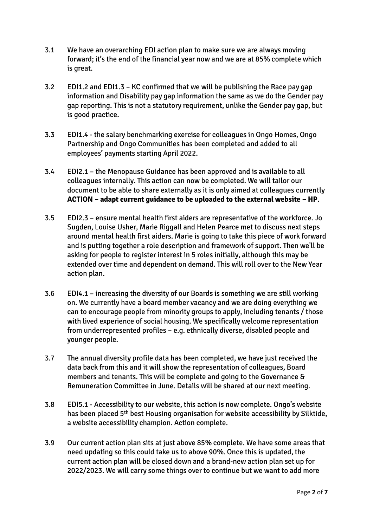- 3.1 We have an overarching EDI action plan to make sure we are always moving forward; it's the end of the financial year now and we are at 85% complete which is great.
- 3.2 EDI1.2 and EDI1.3 KC confirmed that we will be publishing the Race pay gap information and Disability pay gap information the same as we do the Gender pay gap reporting. This is not a statutory requirement, unlike the Gender pay gap, but is good practice.
- 3.3 EDI1.4 the salary benchmarking exercise for colleagues in Ongo Homes, Ongo Partnership and Ongo Communities has been completed and added to all employees' payments starting April 2022.
- 3.4 EDI2.1 the Menopause Guidance has been approved and is available to all colleagues internally. This action can now be completed. We will tailor our document to be able to share externally as it is only aimed at colleagues currently **ACTION – adapt current guidance to be uploaded to the external website – HP**.
- 3.5 EDI2.3 ensure mental health first aiders are representative of the workforce. Jo Sugden, Louise Usher, Marie Riggall and Helen Pearce met to discuss next steps around mental health first aiders. Marie is going to take this piece of work forward and is putting together a role description and framework of support. Then we'll be asking for people to register interest in 5 roles initially, although this may be extended over time and dependent on demand. This will roll over to the New Year action plan.
- 3.6 EDI4.1 increasing the diversity of our Boards is something we are still working on. We currently have a board member vacancy and we are doing everything we can to encourage people from minority groups to apply, including tenants / those with lived experience of social housing. We specifically welcome representation from underrepresented profiles – e.g. ethnically diverse, disabled people and younger people.
- 3.7 The annual diversity profile data has been completed, we have just received the data back from this and it will show the representation of colleagues, Board members and tenants. This will be complete and going to the Governance & Remuneration Committee in June. Details will be shared at our next meeting.
- 3.8 EDI5.1 Accessibility to our website, this action is now complete. Ongo's website has been placed 5<sup>th</sup> best Housing organisation for website accessibility by Silktide, a website accessibility champion. Action complete.
- 3.9 Our current action plan sits at just above 85% complete. We have some areas that need updating so this could take us to above 90%. Once this is updated, the current action plan will be closed down and a brand-new action plan set up for 2022/2023. We will carry some things over to continue but we want to add more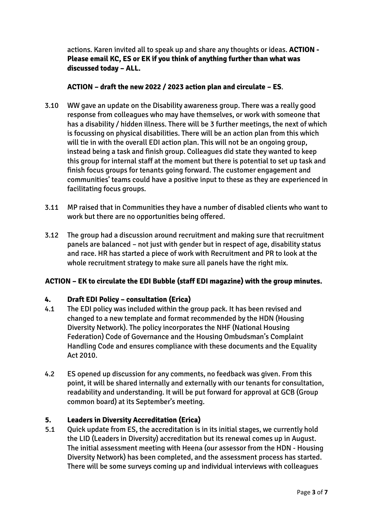actions. Karen invited all to speak up and share any thoughts or ideas. **ACTION - Please email KC, ES or EK if you think of anything further than what was discussed today – ALL.** 

## **ACTION – draft the new 2022 / 2023 action plan and circulate – ES**.

- 3.10 WW gave an update on the Disability awareness group. There was a really good response from colleagues who may have themselves, or work with someone that has a disability / hidden illness. There will be 3 further meetings, the next of which is focussing on physical disabilities. There will be an action plan from this which will tie in with the overall EDI action plan. This will not be an ongoing group, instead being a task and finish group. Colleagues did state they wanted to keep this group for internal staff at the moment but there is potential to set up task and finish focus groups for tenants going forward. The customer engagement and communities' teams could have a positive input to these as they are experienced in facilitating focus groups.
- 3.11 MP raised that in Communities they have a number of disabled clients who want to work but there are no opportunities being offered.
- 3.12 The group had a discussion around recruitment and making sure that recruitment panels are balanced – not just with gender but in respect of age, disability status and race. HR has started a piece of work with Recruitment and PR to look at the whole recruitment strategy to make sure all panels have the right mix.

# **ACTION – EK to circulate the EDI Bubble (staff EDI magazine) with the group minutes.**

### **4. Draft EDI Policy – consultation (Erica)**

- 4.1 The EDI policy was included within the group pack. It has been revised and changed to a new template and format recommended by the HDN (Housing Diversity Network). The policy incorporates the NHF (National Housing Federation) Code of Governance and the Housing Ombudsman's Complaint Handling Code and ensures compliance with these documents and the Equality Act 2010.
- 4.2 ES opened up discussion for any comments, no feedback was given. From this point, it will be shared internally and externally with our tenants for consultation, readability and understanding. It will be put forward for approval at GCB (Group common board) at its September's meeting.

### **5. Leaders in Diversity Accreditation (Erica)**

5.1 Quick update from ES, the accreditation is in its initial stages, we currently hold the LID (Leaders in Diversity) accreditation but its renewal comes up in August. The initial assessment meeting with Heena (our assessor from the HDN - Housing Diversity Network) has been completed, and the assessment process has started. There will be some surveys coming up and individual interviews with colleagues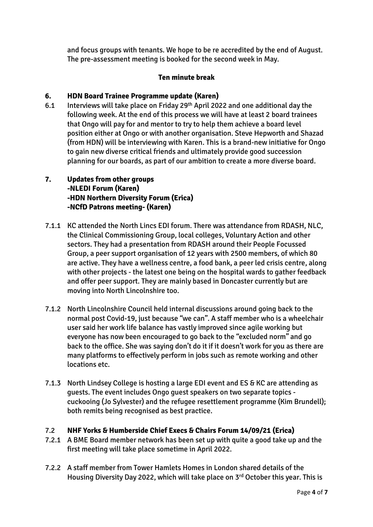and focus groups with tenants. We hope to be re accredited by the end of August. The pre-assessment meeting is booked for the second week in May.

## **Ten minute break**

## **6. HDN Board Trainee Programme update (Karen)**

- 6.1 Interviews will take place on Friday 29th April 2022 and one additional day the following week. At the end of this process we will have at least 2 board trainees that Ongo will pay for and mentor to try to help them achieve a board level position either at Ongo or with another organisation. Steve Hepworth and Shazad (from HDN) will be interviewing with Karen. This is a brand-new initiative for Ongo to gain new diverse critical friends and ultimately provide good succession planning for our boards, as part of our ambition to create a more diverse board.
- **7. Updates from other groups -NLEDI Forum (Karen) -HDN Northern Diversity Forum (Erica) -NCfD Patrons meeting- (Karen)**
- 7.1.1 KC attended the North Lincs EDI forum. There was attendance from RDASH, NLC, the Clinical Commissioning Group, local colleges, Voluntary Action and other sectors. They had a presentation from RDASH around their People Focussed Group, a peer support organisation of 12 years with 2500 members, of which 80 are active. They have a wellness centre, a food bank, a peer led crisis centre, along with other projects - the latest one being on the hospital wards to gather feedback and offer peer support. They are mainly based in Doncaster currently but are moving into North Lincolnshire too.
- 7.1.2 North Lincolnshire Council held internal discussions around going back to the normal post Covid-19, just because "we can". A staff member who is a wheelchair user said her work life balance has vastly improved since agile working but everyone has now been encouraged to go back to the "excluded norm" and go back to the office. She was saying don't do it if it doesn't work for you as there are many platforms to effectively perform in jobs such as remote working and other locations etc.
- 7.1.3 North Lindsey College is hosting a large EDI event and ES & KC are attending as guests. The event includes Ongo guest speakers on two separate topics cuckooing (Jo Sylvester) and the refugee resettlement programme (Kim Brundell); both remits being recognised as best practice.

### 7.2 **NHF Yorks & Humberside Chief Execs & Chairs Forum 14/09/21 (Erica)**

- 7.2.1 A BME Board member network has been set up with quite a good take up and the first meeting will take place sometime in April 2022.
- 7.2.2 A staff member from Tower Hamlets Homes in London shared details of the Housing Diversity Day 2022, which will take place on 3rd October this year. This is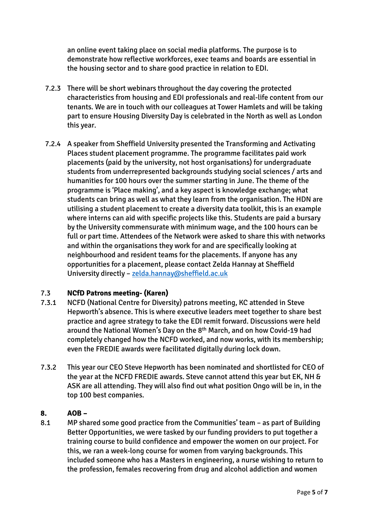an online event taking place on social media platforms. The purpose is to demonstrate how reflective workforces, exec teams and boards are essential in the housing sector and to share good practice in relation to EDI.

- 7.2.3 There will be short webinars throughout the day covering the protected characteristics from housing and EDI professionals and real-life content from our tenants. We are in touch with our colleagues at Tower Hamlets and will be taking part to ensure Housing Diversity Day is celebrated in the North as well as London this year.
- 7.2.4 A speaker from Sheffield University presented the Transforming and Activating Places student placement programme. The programme facilitates paid work placements (paid by the university, not host organisations) for undergraduate students from underrepresented backgrounds studying social sciences / arts and humanities for 100 hours over the summer starting in June. The theme of the programme is 'Place making', and a key aspect is knowledge exchange; what students can bring as well as what they learn from the organisation. The HDN are utilising a student placement to create a diversity data toolkit, this is an example where interns can aid with specific projects like this. Students are paid a bursary by the University commensurate with minimum wage, and the 100 hours can be full or part time. Attendees of the Network were asked to share this with networks and within the organisations they work for and are specifically looking at neighbourhood and resident teams for the placements. If anyone has any opportunities for a placement, please contact Zelda Hannay at Sheffield University directly – [zelda.hannay@sheffield.ac.uk](mailto:zelda.hannay@sheffield.ac.uk)

# 7.3 **NCfD Patrons meeting- (Karen)**

- 7.3.1 NCFD (National Centre for Diversity) patrons meeting, KC attended in Steve Hepworth's absence. This is where executive leaders meet together to share best practice and agree strategy to take the EDI remit forward. Discussions were held around the National Women's Day on the 8<sup>th</sup> March, and on how Covid-19 had completely changed how the NCFD worked, and now works, with its membership; even the FREDIE awards were facilitated digitally during lock down.
- 7.3.2 This year our CEO Steve Hepworth has been nominated and shortlisted for CEO of the year at the NCFD FREDIE awards. Steve cannot attend this year but EK, NH & ASK are all attending. They will also find out what position Ongo will be in, in the top 100 best companies.

### **8. AOB –**

8.1 MP shared some good practice from the Communities' team – as part of Building Better Opportunities, we were tasked by our funding providers to put together a training course to build confidence and empower the women on our project. For this, we ran a week-long course for women from varying backgrounds. This included someone who has a Masters in engineering, a nurse wishing to return to the profession, females recovering from drug and alcohol addiction and women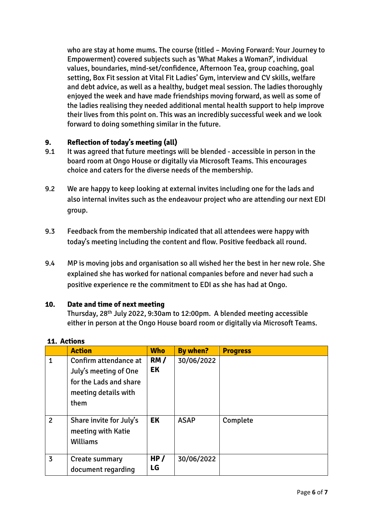who are stay at home mums. The course (titled – Moving Forward: Your Journey to Empowerment) covered subjects such as 'What Makes a Woman?', individual values, boundaries, mind-set/confidence, Afternoon Tea, group coaching, goal setting, Box Fit session at Vital Fit Ladies' Gym, interview and CV skills, welfare and debt advice, as well as a healthy, budget meal session. The ladies thoroughly enjoyed the week and have made friendships moving forward, as well as some of the ladies realising they needed additional mental health support to help improve their lives from this point on. This was an incredibly successful week and we look forward to doing something similar in the future.

## **9. Reflection of today's meeting (all)**

- 9.1 It was agreed that future meetings will be blended accessible in person in the board room at Ongo House or digitally via Microsoft Teams. This encourages choice and caters for the diverse needs of the membership.
- 9.2 We are happy to keep looking at external invites including one for the lads and also internal invites such as the endeavour project who are attending our next EDI group.
- 9.3 Feedback from the membership indicated that all attendees were happy with today's meeting including the content and flow. Positive feedback all round.
- 9.4 MP is moving jobs and organisation so all wished her the best in her new role. She explained she has worked for national companies before and never had such a positive experience re the commitment to EDI as she has had at Ongo.

### **10. Date and time of next meeting**

Thursday, 28th July 2022, 9:30am to 12:00pm. A blended meeting accessible either in person at the Ongo House board room or digitally via Microsoft Teams.

|                | <b>Action</b>                                                                                            | <b>Who</b> | <b>By when?</b> | <b>Progress</b> |
|----------------|----------------------------------------------------------------------------------------------------------|------------|-----------------|-----------------|
| $\overline{1}$ | Confirm attendance at<br>July's meeting of One<br>for the Lads and share<br>meeting details with<br>them | RM/<br>EK  | 30/06/2022      |                 |
| $\overline{2}$ | Share invite for July's<br>meeting with Katie<br>Williams                                                | EK         | <b>ASAP</b>     | Complete        |
| 3              | Create summary<br>document regarding                                                                     | HP/<br>LG  | 30/06/2022      |                 |

### **11. Actions**